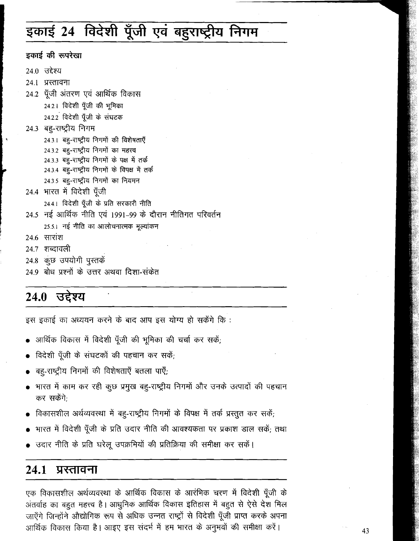# इकाई 24 विदेशी पूँजी एवं बहुराष्ट्रीय निगम

इकाई की रूपरेखा 24.0 उद्देश्य 24.1 प्रस्तावना 24.2 पूँजी अंतरण एवं आर्थिक विकास 24.2.1 विदेशी पूँजी की भूमिका 24.2.2 विदेशी पूँजी के संघटक 24.3 बह-राष्ट्रीय निगम 24.3.1 बहु-राष्ट्रीय निगमों की विशेषताएँ 24.3.2 बहु-राष्ट्रीय निगमों का महत्त्व 24.3.3 बहु-राष्ट्रीय निगमों के पक्ष में तर्क 24.3.4 बहु-राष्ट्रीय निगमों के विपक्ष में तर्क 24.3.5 बहु-राष्ट्रीय निगमों का नियमन 24.4 भारत में विदेशी पूँजी 24.4.1 विदेशी पूँजी के प्रति सरकारी नीति 24.5 नई आर्थिक नीति एवं 1991-99 के दौरान नीतिगत परिवर्तन 25.5.1 नई नीति का आलोचनात्मक मूल्यांकन 24.6 सारांश 24.7 शब्दावली 24.8 कुछ उपयोगी पुस्तकें 24.9 बोध प्रश्नों के उत्तर अथवा दिशा-संकेत

# 24.0 उद्देश्य

इस इकाई का अध्ययन करने के बाद आप इस योग्य हो सकेंगे कि :

- आर्थिक विकास में विदेशी पूँजी की भूमिका की चर्चा कर सकें;
- विदेशी पूँजी के संघटकों की पहचान कर सकें;
- बह्-राष्ट्रीय निगमों की विशेषताएँ बतला पाएँ;
- भारत में काम कर रही कुछ प्रमुख बहु-राष्ट्रीय निगमों और उनके उत्पादों की पहचान कर सकेंगे:
- विकासशील अर्थव्यवस्था में बह-राष्ट्रीय निगमों के विपक्ष में तर्क प्रस्तुत कर सकें;
- भारत में विदेशी पूँजी के प्रति उदार नीति की आवश्यकता पर प्रकाश डाल सकें; तथा
- उदार नीति के प्रति घरेलू उपक्रमियों की प्रतिक्रिया की समीक्षा कर सकें।

#### 24.1 प्रस्तावना

एक विकासशील अर्थव्यवस्था के आर्थिक विकास के आरंभिक चरण में विदेशी पूँजी के अंतर्वाह का बहुत महत्त्व है। आधुनिक आर्थिक विकास इतिहास में बहुत से ऐसे देश मिल जाएँगे जिन्होंने औद्योगिक रूप से अधिक उन्नत राष्ट्रों से विदेशी पूँजी प्राप्त करके अपना आर्थिक विकास किया है। आइए इस संदर्भ में हम भारत के अनुभवों की समीक्षा करें।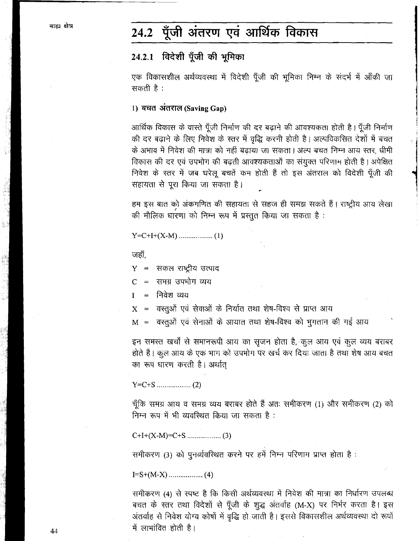#### पूँजी अंतरण एवं आर्थिक विकास  $24.2$

### 24.2.1 विदेशी पूँजी की भूमिका

एक विकासशील अर्थव्यवस्था में विदेशी पूँजी की भूमिका निम्न के संदर्भ में आँकी जा सकती है :

### 1) बचत अंतराल (Saving Gap)

आर्थिक विकास के वास्ते पूँजी निर्माण की दर बढ़ाने की आवश्यकता होती है। पूँजी निर्माण की दर बढ़ाने के लिए निवेश के स्तर में वृद्धि करनी होती है। अल्पविकसित देशों में बचत के अभाव में निवेश की मात्रा को नहीं बढाया जा सकता। अल्प बचत निम्न आय स्तर, धीमी विकास की दर एवं उपभोग की बढ़ती आवश्यकताओं का संयुक्त परिणाम होती है। अपेक्षित निवेश के स्तर में जब घरेलू बचतें कम होती हैं तो इस अंतराल को विदेशी पूँजी की सहायता से पूरा किया जा सकता है।

हम इस बात को अंकगणित की सहायता से सहज ही समझ सकते हैं। राष्ट्रीय आय लेखा की मौलिक धारणा को निम्न रूप में प्रस्तुत किया जा सकता है:

जहाँ.

 $Y =$  सकल राष्ट्रीय उत्पाद

समग्र उपभोग व्यय  $\mathbf C$  $\equiv$ 

निवेश व्यय  $\mathbf{I}$  $\qquad \qquad =$ 

वस्तुओं एवं सेवाओं के निर्यात तथा शेष-विश्व से प्राप्त आय  $\mathbf{X}$  $\equiv$ 

वस्तूओं एवं सेनाओं के आयात तथा शेष-विश्व को भूगतान की गई आय  $M =$ 

इन समस्त खर्चों से समानरूपी आय का सृजन होता है, कुल आय एवं कुल व्यय बराबर होते हैं। कुल आय के एक भाग को उपभोग पर खर्च कर दिया जाता है तथा शेष आय बचत का रूप धारण करती है। अर्थात्

चूँकि समग्र आय व समग्र व्यय बराबर होते हैं अतः समीकरण (1) और समीकरण (2) को निम्न रूप में भी व्यवस्थित किया जा सकता है:

समीकरण (3) को पुनर्व्यवस्थित करने पर हमें निम्न परिणाम प्राप्त होता है:

समीकरण (4) से स्पष्ट है कि किसी अर्थव्यवस्था में निवेश की मात्रा का निर्धारण उपलब्ध बचत के स्तर तथा विदेशों से पूँजी के शुद्ध अंतर्वाह (M-X) पर निर्भर करता है। इस अंतर्वाह से निवेश योग्य कोषों में वृद्धि हो जाती है। इससे विकासशील अर्थव्यवस्था दो रूपों में लाभांवित होती है।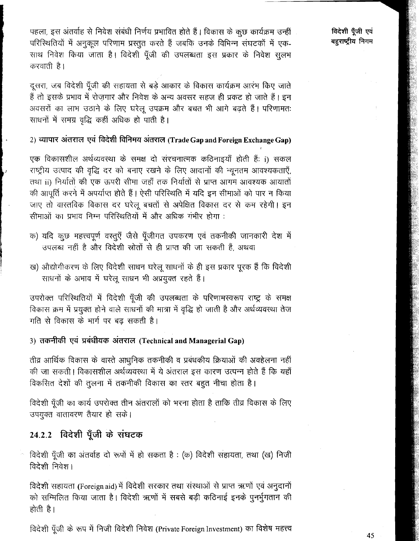पहला, इस अंतर्वाह से निवेश संबंधी निर्णय प्रभावित होते हैं। विकास के कुछ कार्यक्रम उन्हीं परिस्थितियों में अनुकूल परिणाम प्रस्तुत करते हैं जबकि उनके विभिन्न संघटकों में एक-साथ निवेश किया जाता है। विदेशी पूँजी की उपलब्धता इस प्रकार के निवेश सूलभ करवाती है।

दुसरा, जब विदेशी पूँजी की सहायता से बड़े आकार के विकास कार्यक्रम आरंभ किए जाते हैं तो इसके प्रभाव में रोजगार और निवेश के अन्य अवसर सहज ही प्रकट हो जाते हैं। इन अवसरों का लाभ उठाने के लिए घरेलू उपक्रम और बचत भी आगे बढ़ते हैं। परिणामतः साधनों में समग्र वृद्धि कहीं अधिक हो पाती है।

### 2) व्यापार अंतराल एवं विदेशी विनिमय अंतराल (Trade Gap and Foreign Exchange Gap)

एक विकासशील अर्थव्यवस्था के समक्ष दो संरचनात्मक कठिनाइयाँ होती हैं: i) सकल राष्ट्रीय उत्पाद की वृद्धि दर को बनाए रखने के लिए आदानों की न्यूनतम आवश्यकताएँ, तथा ii) निर्यातों की एक ऊपरी सीमा जहाँ तक निर्यातों से प्राप्त आगम आवश्यक आयातों की आपूर्ति करने में अपर्याप्त होते हैं। ऐसी परिस्थिति में यदि इन सीमाओं को पार न किया जाए तो वास्तविक विकास दर घरेलू बचतों से अपेक्षित विकास दर से कम रहेगी। इन सीमाओं का प्रभाव निम्न परिस्थितियों में और अधिक गंभीर होगा:

- क) यदि कुछ महत्त्वपूर्ण वस्तुएँ जैसे पूँजीगत उपकरण एवं तकनीकी जानकारी देश में उपलब्ध नहीं है और विदेशी स्रोतों से ही प्राप्त की जा सकती हैं, अथवा
- ख) औद्योगीकरण के लिए विदेशी साधन घरेलू साधनों के ही इस प्रकार पूरक हैं कि विदेशी साधनों के अभाव में घरेलू साधन भी अप्रयुक्त रहते हैं।

उपरोक्त परिस्थितियों में विदेशी पूँजी की उपलब्धता के परिणामस्वरूप राष्ट्र के समक्ष विकास क्रम में प्रयुक्त होने वाले साधनों की मात्रा में वृद्धि हो जाती है और अर्थव्यवस्था तेज गति से विकास के मार्ग पर बढ़ सकती है।

### 3) तकनीकी एवं प्रबंधीयक अंतराल (Technical and Managerial Gap)

तीव्र आर्थिक विकास के वास्ते आधुनिक तकनीकी व प्रबंधकीय क्रियाओं की अवहेलना नहीं की जा सकती। विकासशील अर्थव्यवस्था में ये अंतराल इस कारण उत्पन्न होते हैं कि यहाँ विकसित देशों की तुलना में तकनीकी विकास का स्तर बहुत नीचा होता है।

विदेशी पूँजी का कार्य उपरोक्त तीन अंतरालों को भरना होता है ताकि तीव्र विकास के लिए उपयुक्त वातावरण तैयार हो सके।

### 24.2.2 विदेशी पूँजी के संघटक

विदेशी पूँजी का अंतर्वाह दो रूपों में हो सकता है: (क) विदेशी सहायता, तथा (ख) निजी विदेशी निवेश।

विदेशी सहायता (Foreign aid) में विदेशी सरकार तथा संस्थाओं से प्राप्त ऋणों एवं अनुदानों को सम्मिलित किया जाता है। विदेशी ऋणों में सबसे बड़ी कठिनाई इनके पुनर्भूगतान की होती है।

विदेशी पूँजी के रूप में निजी विदेशी निवेश (Private Foreign Investment) का विशेष महत्त्व

विदेशी पुँजी एवं बहराष्टीय निगम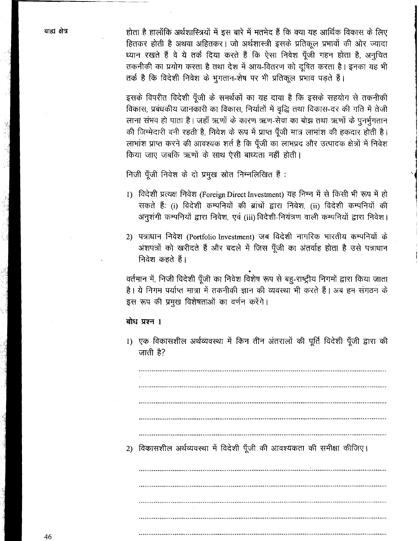होता है हालाँकि अर्थशास्त्रियों में इस बारे में मतभेद हैं कि क्या यह आर्थिक विकास के लिए हितकर होती है अथवा अहितकर। जो अर्थशास्त्री इसके प्रतिकल प्रभावों की ओर ज्यादा ध्यान रखते हैं वे ये तर्क दिया करते हैं कि ऐसा निवेश पँजी गहन होता है. अनुचित तकनीकी का प्रयोग करता है तथा देश में आय-वितरण को दुषित करता है। इनका यह भी तर्क है कि विदेशी निवेश के भुगतान-शेष पर भी प्रतिकूल प्रभाव पड़ते हैं।

इसके विपरीत विदेशी पूँजी के समर्थकों का यह दावा है कि इसके सहयोग से तकनीकी विकास, प्रबंधकीय जानकारी का विकास, निर्यातों में वृद्धि तथा विकास-दर की गति में तेजी लाना संभव हो पाता है। जहाँ ऋणों के कारण ऋण-सेवा का बोझ तथा ऋणों के पुनर्भगतान की जिम्मेदारी बनी रहती है, निवेश के रूप में प्राप्त पूँजी मात्र लाभांश की हकदार होती है। लाभांश प्राप्त करने की आवश्यक शर्त है कि पूँजी का लाभप्रद और उत्पादक क्षेत्रों में निवेश किया जाए जबकि ऋणों के साथ ऐसी बाध्यता नहीं होती।

निजी पूँजी निवेश के दो प्रमुख स्रोत निम्नलिखित हैं:

- 1) विदेशी प्रत्यक्ष निवेश (Foreign Direct Investment) यह निम्न में से किसी भी रूप में हो सकते हैं: (i) विदेशी कम्पनियों की ब्रांचों द्वारा निवेश, (ii) विदेशी कम्पनियों की अनुशंगी कम्पनियों द्वारा निवेश, एवं (iii) विदेशी-नियंत्रण वाली कम्पनियों द्वारा निवेश।
- 2) पत्राधान निवेश (Portfolio Investment) जब विदेशी नागरिक भारतीय कम्पनियों के अंशपत्रों को खरीदते हैं और बदले में जिस पूँजी का अंतर्वाह होता है उसे पत्राधान निवेश कहते हैं।

वर्तमान में, निजी विदेशी पूँजी का निवेश विशेष रूप से बहु-राष्ट्रीय निगमों द्वारा किया जाता है। ये निगम पर्याप्त मात्रा में तकनीकी ज्ञान की व्यवस्था भी करते हैं। अब हम संगठन के इस रूप की प्रमुख विशेषताओं का वर्णन करेंगे।

#### बोध प्रश्न 1

1) एक विकासशील अर्थव्यवस्था में किन तीन अंतरालों की पूर्ति विदेशी पूँजी द्वारा की जाती है?

2) विकासशील अर्थव्यवस्था में विदेशी पूँजी की आवश्यकता की समीक्षा कीजिए।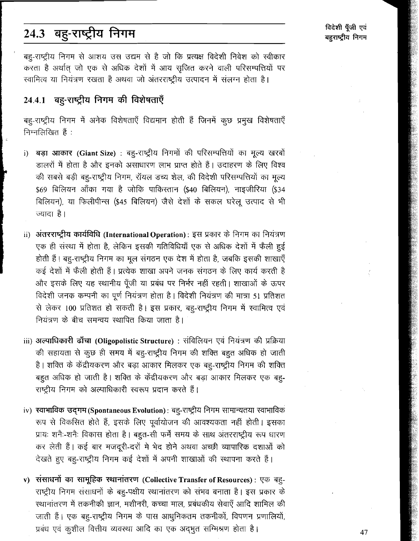# 24.3 बहु-राष्ट्रीय निगम

बह-राष्ट्रीय निगम से आशय उस उद्यम से है जो कि प्रत्यक्ष विदेशी निवेश को स्वीकार करता है अर्थात जो एक से अधिक देशों में आय सुजित करने वाली परिसम्पत्तियों पर स्वामित्व या नियंत्रण रखता है अथवा जो अंतरराष्ट्रीय उत्पादन में संलग्न होता है।

### 24.4.1 बह-राष्ट्रीय निगम की विशेषताएँ

बहु-राष्ट्रीय निगम में अनेक विशेषताएँ विद्यमान होती हैं जिनमें कूछ प्रमुख विशेषताएँ निम्नलिखित हैं:

- बड़ा आकार (Giant Size) : बहु-राष्ट्रीय निगमों की परिसम्पत्तियों का मूल्य खरबों  $i)$ डालरों में होता है और इनको असाधारण लाभ प्राप्त होते हैं। उदाहरण के लिए विश्व की सबसे बड़ी बह-राष्ट्रीय निगम, रॉयल डच्य शेल, की विदेशी परिसम्पत्तियों का मूल्य \$69 बिलियन आँका गया है जोकि पाकिस्तान (\$40 बिलियन), नाइजीरिया (\$34 बिलियन), या फिलीपीन्स (\$45 बिलियन) जैसे देशों के सकल घरेलू उत्पाद से भी ज्यादा है।
- ii) अंतरराष्ट्रीय कार्यविधि (International Operation): इस प्रकार के निगम का नियंत्रण एक ही संस्था में होता है, लेकिन इसकी गतिविधियाँ एक से अधिक देशों में फैली हुई होती हैं। बह्-राष्ट्रीय निगम का मूल संगठन एक देश में होता है, जबकि इसकी शाखाएँ कई देशों में फैली होती हैं। प्रत्येक शाखा अपने जनक संगठन के लिए कार्य करती है और इसके लिए यह स्थानीय पूँजी या प्रबंध पर निर्भर नहीं रहती। शाखाओं के ऊपर विदेशी जनक कम्पनी का पूर्ण नियंत्रण होता है। विदेशी नियंत्रण की मात्रा 51 प्रतिशत से लेकर 100 प्रतिशत हो सकती है। इस प्रकार, बहू-राष्ट्रीय निगम में स्वामित्व एवं नियंत्रण के बीच समन्वय स्थापित किया जाता है।
- iii) अल्पाधिकारी ढाँचा (Oligopolistic Structure) : संविलियन एवं नियंत्रण की प्रक्रिया की सहायता से कुछ ही समय में बहु-राष्ट्रीय निगम की शक्ति बहुत अधिक हो जाती है। शक्ति के केंद्रीयकरण और बड़ा आकार मिलकर एक बह-राष्ट्रीय निगम की शक्ति बहुत अधिक हो जाती है। शक्ति के केंद्रीयकरण और बड़ा आकार मिलकर एक बहु-राष्ट्रीय निगम को अल्पाधिकारी स्वरूप प्रदान करते हैं।
- iv) स्वाभाविक उद्गम (Spontaneous Evolution): बहु-राष्ट्रीय निगम सामान्यतया स्वाभाविक रूप से विकसित होते हैं, इसके लिए पूर्वायोजन की आवश्यकता नहीं होती। इसका प्रायः शनैः-शनैः विकास होता है। बहुत-सी फर्में समय के साथ अंतरराष्ट्रीय रूप धारण कर लेती हैं। कई बार मजदूरी-दरों मे भेद होने अथवा अच्छी व्यापारिक दशाओं को देखते हुए बहु-राष्ट्रीय निगम कई देशों में अपनी शाखाओं की स्थापना करते हैं।
- v) संसाधनों का सामूहिक स्थानांतरण (Collective Transfer of Resources) : एक बहु-राष्ट्रीय निगम संसाधनों के बह-पक्षीय स्थानांतरण को संभव बनाता है। इस प्रकार के स्थानांतरण में तकनीकी ज्ञान, मशीनरी, कच्चा माल, प्रबंधकीय सेवाएँ आदि शामिल की जाती हैं। एक बहु-राष्ट्रीय निगम के पास आधुनिकतम तकनीकों, विपणन प्रणालियों, प्रबंध एवं कुशील वित्तीय व्यवस्था आदि का एक अद्भुत सम्मिश्रण होता है।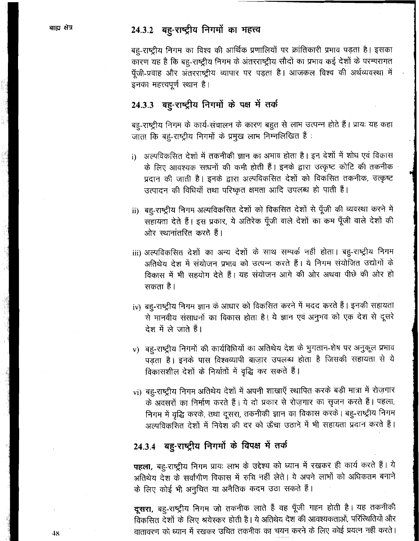### 24.3.2 बह-राष्ट्रीय निगमों का महत्त्व

बह-राष्ट्रीय निगम का विश्व की आर्थिक प्रणालियों पर क्रांतिकारी प्रभाव पड़ता है। इसका कारण यह है कि बह-राष्ट्रीय निगम के अंतरराष्ट्रीय सौदों का प्रभाव कई देशों के परम्परागत पूँजी-प्रवाह और अंतरराष्ट्रीय व्यापार पर पड़ता है। आजकल विश्व की अर्थव्यवस्था में इनका महत्त्वपूर्ण स्थान है।

### 24.3.3 बह-राष्ट्रीय निगमों के पक्ष में तर्क

बह-राष्ट्रीय निगम के कार्य-संचालन के कारण बहुत से लाभ उत्पन्न होते हैं। प्रायः यह कहा जाता कि बह-राष्ट्रीय निगमों के प्रमुख लाभ निम्नलिखित हैं:

- अल्पविकसित देशों में तकनीकी ज्ञान का अभाव होता है। इन देशों में शोध एवं विकास  $i)$ के लिए आवश्यक साधनों की कमी होती हैं। इनके द्वारा उत्कृष्ट कोटि की तकनीक प्रदान की जाती है। इनके द्वारा अल्पविकसित देशों को विकसित तकनीक, उत्कृष्ट उत्पादन की विधियाँ तथा परिष्कृत क्षमता आदि उपलब्ध हो पाती हैं।
- ii) बहु-राष्ट्रीय निगम अल्पविकसित देशों को विकसित देशों से पूँजी की व्यवस्था करने में सहायता देते हैं। इस प्रकार, ये अतिरेक पूँजी वाले देशों का कम पूँजी वाले देशों की ओर स्थानांतरित करते हैं।
- iii) अल्पविकसित देशों का अन्य देशों के साथ सम्पर्क नहीं होता। बहु-राष्ट्रीय निगम अतिथेय देश में संयोजन प्रभाव को उत्पन्न करते हैं। ये निगम संयोजित उद्योगों के विकास में भी सहयोग देते हैं। यह संयोजन आगे की ओर अथवा पीछे की ओर हो सकता है।
- iv) बहु-राष्ट्रीय निगम ज्ञान के आधार को विकसित करने में मदद करते हैं। इनकी सहायता से मानवीय संसाधनों का विकास होता है। ये ज्ञान एवं अनुभव को एक देश से दूसरे देश में ले जाते हैं।
- v) बह-राष्ट्रीय निगमों की कार्यविधियों का अतिथेय देश के भुगतान-शेष पर अनुकूल प्रभाव पड़ता है। इनके पास विश्वव्यापी बाज़ार उपलब्ध होता है जिसकी सहायता से ये विकासशील देशों के निर्यातों में वृद्धि कर सकते हैं।
- vi) बहु-राष्ट्रीय निगम अतिथेय देशों में अपनी शाखाएँ स्थापित करके बड़ी मात्रा में रोज़गार के अवसरों का निर्माण करते हैं। ये दो प्रकार से रोज़गार का सृजन करते हैं। पहला, निगम में वृद्धि करके, तथा दूसरा, तकनीकी ज्ञान का विकास करके। बहु-राष्ट्रीय निगम अल्पविकसित देशों में निवेश की दर को ऊँचा उठाने में भी सहायता प्रदान करते हैं।

## 24.3.4 बहु-राष्ट्रीय निगमों के विपक्ष में तर्क

पहला, बहु-राष्ट्रीय निगम प्रायः लाभ के उद्देश्य को ध्यान में रखकर ही कार्य करते हैं। ये अतिथेय देश के सर्वांगीण विकास में रुचि नहीं लेते। ये अपने लाभों को अधिकतम बनाने के लिए कोई भी अनुचित या अनैतिक कदम उठा सकते हैं।

दूसरा, बहु-राष्ट्रीय निगम जो तकनीक लाते हैं वह पूँजी गहन होती है। यह तकनीकी विकसित देशों के लिए श्रयेस्कर होती है। ये अतिथेय देश की आवश्यकताओं, परिस्थितियों और वातावरण को ध्यान में रखकर उचित तकनीक का चयन करने के लिए कोई प्रयत्न नहीं करते।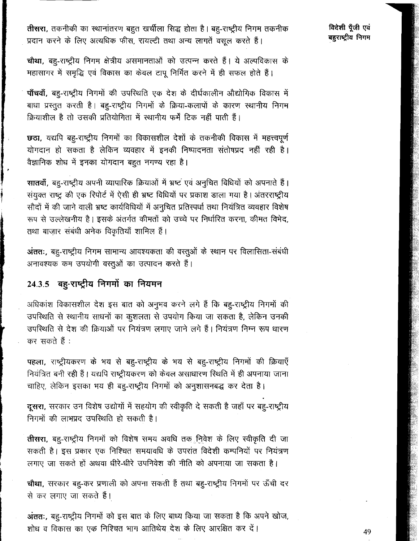तीसरा, तकनीकी का स्थानांतरण बहुत खर्चीला सिद्ध होता है। बह-राष्ट्रीयं निगम तकनीक प्रदान करने के लिए अत्यधिक फीस, रायल्टी तथा अन्य लागतें वसूल करते हैं।

विदेशी पँजी एवं बहराष्ट्रीय निगम

चौथा, बहु-राष्ट्रीय निगम क्षेत्रीय असमानताओं को उत्पन्न करते हैं। ये अल्पविकास के महासागर में समृद्धि एवं विकास का केवल टापू निर्मित करने में ही सफल होते हैं।

पाँचवाँ, बहु-राष्ट्रीय निगमों की उपरिथति एक देश के दीर्घकालीन औद्योगिक विकास में बाधा प्रस्तुत करती है। बह-राष्ट्रीय निगमों के क्रिया-कलापों के कारण स्थानीय निगम क्रियाशील है तो उसकी प्रतियोगिता में स्थानीय फर्में टिक नहीं पाती हैं।

छठा, यद्यपि बहु-राष्ट्रीय निगमों का विकासशील देशों के तकनीकी विकास में महत्त्वपूर्ण योगदान हो सकता है लेकिन व्यवहार में इनकी निष्पादनता संतोषप्रद नहीं रही है। वैज्ञानिक शोध में इनका योगदान बहुत नगण्य रहा है।

सातवाँ, बहु-राष्ट्रीय अपनी व्यापारिक क्रियाओं में भ्रष्ट एवं अनुचित विधियों को अपनाते हैं। संयुक्त राष्ट्र की एक रिपोर्ट में ऐसी ही भ्रष्ट विधियों पर प्रकाश डाला गया है। अंतरराष्ट्रीय सौदों में की जाने वाली भ्रष्ट कार्यविधियों में अनुचित प्रतिस्पर्धा तथा नियंत्रित व्यवहार विशेष रूप से उल्लेखनीय है। इसके अंतर्गत कीमतों को उच्चे पर निर्धारित करना, कीमत विभेद, तथा बाज़ार संबंधी अनेक विकृतियाँ शामिल हैं।

अंततः, बह्-राष्ट्रीय निगम सामान्य आवश्यकता की वस्तूओं के स्थान पर विलासिता-संबंधी अनावश्यक कम उपयोगी वस्तूओं का उत्पादन करते हैं।

### 24.3.5 बहु-राष्ट्रीय निगमों का नियमन

,

अधिकांश विकासशील देश इस बात को अनुभव करने लगे हैं कि बह-राष्ट्रीय निगमों की उपरिथति से स्थानीय साधनों का कुशलता से उपयोग किया जा सकता है, लेकिन उनकी उपस्थिति से देश की क्रियाओं पर नियंत्रण लगाए जाने लगे हैं। नियंत्रण निम्न रूप धारण कर सकते हैं :

पहला, राष्ट्रीयकरण के भय से बह-राष्ट्रीय के भय से बह-राष्ट्रीय निगमों की क्रियाएँ नियंत्रित बनी रही हैं। यद्यपि राष्ट्रीयकरण को केवल असाधारण स्थिति में ही अपनाया जाना चाहिए, लेकिन इसका भय ही बह-राष्ट्रीय निगमों को अनुशासनबद्ध कर देता है।

दूसरा, सरकार उन विशेष उद्योगों में सहयोग की स्वीकृति दे सकती है जहाँ पर बह-राष्ट्रीय निगमों की लाभप्रद उपस्थिति हो सकती है।

तीसरा, बहु-राष्ट्रीय निगमों को विशेष समय अवधि तक निवेश के लिए स्वीकृति दी जा सकती है। इस प्रकार एक निश्चित समयावधि के उपरांत विदेशी कम्पनियों पर नियंत्रण लगाए जा सकते हों अथवा धीरे-धीरे उपनिवेश की नीति को अपनाया जा सकता है।

चौथा, सरकार बहु-कर प्रणाली को अपना सकती हैं तथा बहु-राष्ट्रीय निगमों पर ऊँची दर से कर लगाए जा सकते हैं।

अंततः, बह्-राष्ट्रीय निगमों को इस बात के लिए बाध्य किया जा सकता है कि अपने खोज, शोध व विकास का एक निश्चित भाग आतिथेय देश के लिए आरक्षित कर दें।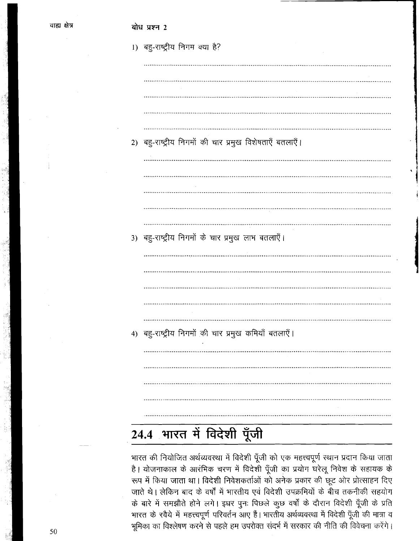बोध प्रश्न 2

|    | 1) बहु-राष्ट्रीय निगम क्या है?                       |
|----|------------------------------------------------------|
|    |                                                      |
|    |                                                      |
|    |                                                      |
|    |                                                      |
|    |                                                      |
| 2) | बहु-राष्ट्रीय निगमों की चार प्रमुख विशेषताएँ बतलाएँ। |
|    |                                                      |
|    |                                                      |
|    |                                                      |
|    |                                                      |
|    |                                                      |
| 3) | बहु-राष्ट्रीय निगमों के चार प्रमुख लाभ बतलाएँ।       |
|    |                                                      |
|    |                                                      |
|    |                                                      |
|    |                                                      |
|    |                                                      |
| 4) | बहु-राष्ट्रीय निगमों की चार प्रमुख कमियाँ बतलाएँ।    |
|    |                                                      |
|    |                                                      |
|    |                                                      |
|    |                                                      |
|    |                                                      |
|    |                                                      |

# 24.4 भारत में विदेशी पूँजी

भारत की नियोजित अर्थव्यवस्था में विदेशी पूँजी को एक महत्त्वपूर्ण स्थान प्रदान किया जाता है। योजनाकाल के आरंभिक चरण में विदेशी पूँजी का प्रयोग घरेलू निवेश के सहायक के रूप में किया जाता था। विदेशी निवेशकर्ताओं को अनेक प्रकार की छूट ओर प्रोत्साहन दिए जाते थे। लेकिन बाद के वर्षों में भारतीय एवं विदेशी उपक्रमियों के बीच तकनीकी सहयोग के बारे में समझौते होने लगे। इधर पुनः पिछले कुछ वर्षों के दौरान विदेशी पूँजी के प्रति भारत के रवैये में महत्त्वपूर्ण परिवर्तन आए हैं। भारतीय अर्थव्यवस्था में विदेशी पूँजी की मात्रा व भूमिका का विश्लेषण करने से पहले हम उपरोक्त संदर्भ में सरकार की नीति की विवेचना करेंगे।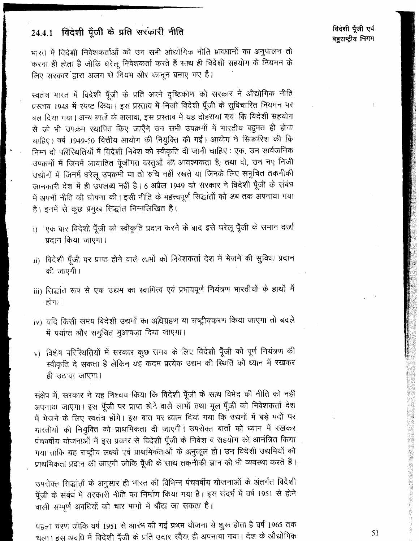### 24.4.1 विदेशी पूँजी के प्रति सरकारी नीति

भारत में विदेशी निवेशकर्ताओं को उन सभी ओद्योगिक नीति प्रावधानों का अनुपालन तो करना ही होता है जोकि घरेलू निवेशकर्ता करते हैं साथ ही विदेशी सहयोग के नियमन के लिए सरकार द्वारा अलग से नियम और कानून बनाए गए हैं।

स्वतंत्र भारत में विदेशी पूँजी के प्रति अपने दृष्टिकोण को सरकार ने औद्योगिक नीति प्रस्ताव 1948 में स्पष्ट किया। इस प्रस्ताव में निजी विदेशी पूँजी के सुविचारित नियमन पर बल दिया गया। अन्य बातों के अलावा, इस प्रस्ताव में यह दोहराया गया कि विदेशी सहयोग से जो भी उपक्रम स्थापित किए जाएँगे उन सभी उपक्रमों में भारतीय बहुमत ही होना चाहिए। वर्ष 1949-50 वित्तीय आयोग की नियुक्ति की गई। आयोग ने सिफारिश की कि निम्न दो परिस्थितियों में विदेशी निवेश को स्वीकृति दी जानी चाहिए : एक, उन सार्वजनिक उपक्रमों में जिनमें आयातित पूँजीगत वस्तुओं की आवश्यकता है; तथा दो, उन नए निजी उद्योगों में जिनमें घरेलू उपक्रमी या तो रुचि नहीं रखते या जिनके लिए समुचित तकनीकी जानकारी देश में ही उपलब्ध नहीं है। 6 अप्रैल 1949 को सरकार ने विदेशी पूँजी के संबंध में अपनी नीति की घोषणा की। इसी नीति के महत्त्वपूर्ण सिद्धांतों को अब तक अपनाया गया है। इनमें से कुछ प्रमुख सिद्धांत निम्नलिखित हैं।

- i) एक बार विदेशी पूँजी को स्वीकृति प्रदान करने के बाद इसे घरेलू पूँजी के समान दर्जा प्रदान किया जाएगा।
- ii) विदेशी पूँजी पर प्राप्त होने वाले लाभों को निवेशकर्ता देश में भेजने की सुविधा प्रदान की जाएगी।
- iii) सिद्धांत रूप से एक उद्यम का स्वामित्व एवं प्रभावपूर्ण नियंत्रण भारतीयों के हाथों में होगा।
- iv) यदि किसी समय विदेशी उद्यमों का अधिग्रहण या राष्ट्रीयकरण किया जाएगा तो बदले में पर्याप्त और समुचित मुआवज़ा दिया जाएगा।
- v) विशेष परिस्थितियों में सरकार कुछ समय के लिए विदेशी पूँजी को पूर्ण नियंत्रण की स्वीकृति दे सकता है लेकिन यह कदम प्रत्येक उद्यम की स्थिति को ध्यान में रखकर ही उठाया जाएगा।

संक्षेप में, सरकार ने यह निश्चय किया कि विदेशी पूँजी के साथ विभेद की नीति को नहीं अपनाया जाएगा। इस पूँजी पर प्राप्त होने वाले लाभों तथा मूल पूँजी को निवेशकर्ता देश में भेजने के लिए स्वतंत्र होंगे। इस बात पर ध्यान दिया गया कि उद्यमों में बड़े पदों पर भारतीयों की नियुक्ति को प्राथमिकता दी जाएगी। उपरोक्त बातों को ध्यान में रखकर पंचवर्षीय योजनाओं में इस प्रकार से विदेशी पूँजी के निवेश व सहयोग को आमंत्रित किया गया ताकि यह राष्ट्रीय लक्ष्यों एवं प्राथमिकताओं के अनुकूल हो। उन विदेशी उद्यमियों को प्राथमिकता प्रदान की जाएगी जोकि पूँजी के साथ तकनीकी ज्ञान की भी व्यवस्था करते हैं।

उपरोक्त सिद्धांतों के अनुसार ही भारत की विभिन्न पंचवर्षीय योजनाओं के अंतर्गत विदेशी पूँजी के संबंध में सरकारी नीति का निर्माण किया गया है। इस संदर्भ में वर्ष 1951 से होने वाली सम्पूर्ण अवधियों को चार भागों में बाँटा जा सकता है।

पहला चरण जोकि वर्ष 1951 से आरंभ की गई प्रथम योजना से शुरू होता है वर्ष 1965 तक चला। इस अवधि में विदेशी पूँजी के प्रति उदार रवैया ही अपनाया गया। देश के औद्योगिक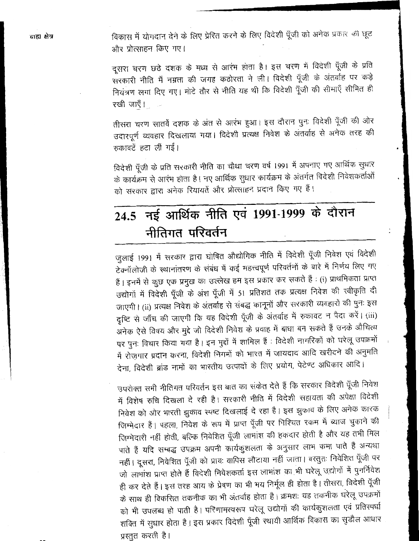विकास में योगदान देने के लिए प्रेरित करने के लिए विदेशी पूँजी को अनेक प्रकार की छूट और प्रोत्साहन किए गए।

दूसरा चरण छठे दशक के मध्य से आरंभ होता है। इस चरण में विदेशी पूँजी के प्रति सरकारी नीति में नम्रता की जगह कठोरता ने ली। विदेशी पूँजी के अंतर्वाह पर कड़े नियंत्रण लगा दिए गए। मोटे तौर से नीति यह थी कि विदेशी पूँजी की सीमाएँ सीमित ही रखी जाएँ।

तीसरा चरण सातवें दशक के अंत से आरंभ हुआ। इस दौरान पुनः विदेशी पूँजी की ओर उदारपूर्ण व्यवहार दिखलाया गया। विदेशी प्रत्यक्ष निवेश के अंतर्वाह से अनेक तरह की रुकावटें हटा लीं गईं।

विदेशी पूँजी के प्रति सरकारी नीति का चौथा चरण वर्ष 1991 में अपनाए गए आर्थिक सुधार के कार्यक्रम से आरंभ होता है। नए आर्थिक सुधार कार्यक्रम के अंतर्गत विदेशी निवेशकर्ताओं को सरकार द्वारा अनेक रियायतें और प्रोत्साहन प्रदान किए गए हैं।

# 24.5 नई आर्थिक नीति एवं 1991-1999 के दौरान नीतिगत परिवर्तन

जुलाई 1991 में सरकार द्वारा घोषित औद्योगिक नीति में विदेशी पूँजी निवेश एवं विदेशी टेक्नॉलोजी के स्थानांतरण के संबंध में कई महत्त्वपूर्ण परिवर्तनों के बारे में निर्णय लिए गए हैं। इनमें से कुछ एक प्रमुख का उल्लेख हम इस प्रकार कर सकते हैं : (i) प्राथमिकता प्राप्त उद्योगों में विदेशी पूँजी के अंश पूँजी में 51 प्रतिशत तक प्रत्यक्ष निवेश की स्वीकृति दी जाएगी। (ii) प्रत्यक्ष निवेश के अंतर्वाह से संबद्ध कानूनों और सरकारी व्यवहारों की पुनः इस दृष्टि से जाँच की जाएगी कि यह विदेशी पूँजी के अंतर्वाह में रुकावट न पैदा करें। (iii) अनेक ऐसे विषय और मुद्दे जो विदेशी निवेश के प्रवाह में बाधा बन सकते हैं उनके औचित्य पर पुनः विचार किया गया है। इन मुद्दों में शामिल हैं : विदेशी नागरिकों को घरेलू उपक्रमों में रोज़गार प्रदान करना, विदेशी निगमों को भारत में जायदाद आदि खरीदने की अनुमति देना, विदेशी ब्रांड नामों का भारतीय उत्पादों के लिए प्रयोग, पेटेण्ट अधिकार आदि।

उपरोक्त सभी नीतिगत परिवर्तन इस बात का संकेत देते हैं कि सरकार विदेशी पूँजी निवेश में विशेष रुचि दिखला दे रही है। सरकारी नीति में विदेशी सहायता की अपेक्षा विदेशी निवेश को ओर भारती झुकाव स्पष्ट दिखलाई दे रहा है। इस झुकाव के लिए अनेक कारक जिम्मेदार हैं। पहला, निवेश के रूप में प्राप्त पूँजी पर निश्चित रकम में ब्याज चुकाने की जिम्मेदारी नहीं होती, बल्कि निवेशित पूँजी लाभांश की हकदार होती है और यह तभी मिल पाते हैं यदि सम्बद्ध उपक्रम अपनी कार्यकुशलता के अनुसार लाभ कमा पाते हैं अन्यथा नहीं। दूसरा, निवेशित पूँजी को प्रायः वापिस लौटाया नहीं जाता। वस्तुतः निवेशित पूँजी पर जो लाभांश प्राप्त होते हैं विदेशी निवेशकर्ता इस लाभांश का भी घरेलू उद्योगों में पुनर्निवेश ही कर देते हैं। इस तरह आय के प्रेषण का भी भय निर्मूल ही होता है। तीसरा, विदेशी पूँजी के साथ ही विकसित तकनीक का भी अंतर्वाह होता है। क्रमशः यह तकनीक घरेलू उपक्रमों को भी उपलब्ध हो पाती है। परिणामस्वरूप घरेलू उद्योगों की कार्यकुशलता एवं प्रतिस्पर्धा शक्ति में सुधार होता है। इस प्रकार विदेशी पूँजी स्थायी आर्थिक विकास का सुडौल आधार प्रस्तुत करती है।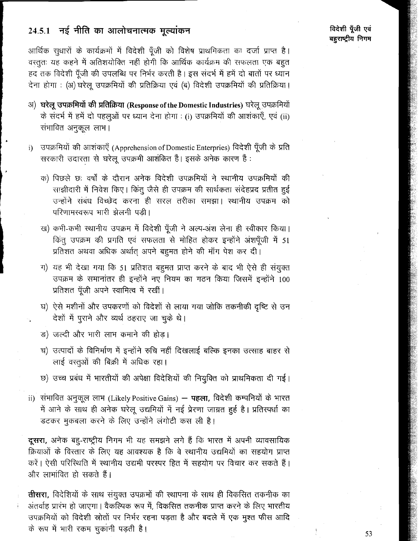### 24.5.1 नई नीति का आलोचनात्मक मुल्यांकन

आर्थिक सुधारों के कार्यक्रमों में विदेशी पँजी को विशेष प्राथमिकता का दर्जा प्राप्त है। वस्तूतः यह कहने में अतिशयोक्ति नहीं होगी कि आर्थिक कार्यक्रम की सफलता एक बहुत हद तक विदेशी पूँजी की उपलब्धि पर निर्भर करती है। इस संदर्भ में हमें दो बातों पर ध्यान देना होगा : (अ) घरेलू उपक्रमियों की प्रतिक्रिया एवं (ब) विदेशी उपक्रमियों की प्रतिक्रिया।

- अ) घरेलू उपक्रमियों की प्रतिक्रिया (Response of the Domestic Industries) घरेलू उपक्रमियों के संदर्भ में हमें दो पहलुओं पर ध्यान देना होगा : (i) उपक्रमियों की आशंकाएँ, एवं (ii) संभावित अनुकूल लाभ।
- उपक्रमियों की आशंकाएँ (Apprehension of Domestic Enterpries) विदेशी पूँजी के प्रति  $\mathbf{i}$ सरकारी उदारता से घरेलू उपक्रमी आशंकित हैं। इसके अनेक कारण हैं:
	- क) पिछले छः वर्षों के दौरान अनेक विदेशी उपक्रमियों ने स्थानीय उपक्रमियों की साझीदारी में निवेश किए। किंतु जैसे ही उपक्रम की सार्थकता संदेहप्रद प्रतीत हुई उन्होंने संबंध विच्छेद करना ही सरल तरीका समझा। स्थानीय उपक्रम को परिणामस्वरूप भारी झेलनी पड़ी।
	- ख) कभी-कभी स्थानीय उपक्रम में विदेशी पूँजी ने अल्प-अंश लेना ही स्वीकार किया। किंतू उपक्रम की प्रगति एवं सफलता से मोहित होकर इन्होंने अंशपूँजी में 51 प्रतिशत अथवा अधिक अर्थात् अपने बहूमत होने की माँग पेश कर दी।
	- ग) यह भी देखा गया कि 51 प्रतिशत बहुमत प्राप्त करने के बाद भी ऐसे ही संयुक्त उपक्रम के समानांतर ही इन्होंने नए नियम का गठन किया जिसमें इन्होंने 100 प्रतिशत पूँजी अपने स्वामित्व में रखीं।
	- घ) ऐसे मशीनों और उपकरणों को विदेशों से लाया गया जोकि तकनीकी दृष्टि से उन देशों में पुराने और व्यर्थ ठहराए जा चुके थे।
	- ङ) जल्दी और भारी लाभ कमाने की होड।
	- च) उत्पादों के विनिर्माण में इन्होंने रुचि नहीं दिखलाई बल्कि इनका उत्साह बाहर से लाई वस्तूओं की बिक्री में अधिक रहा।
	- छ) उच्च प्रबंध में भारतीयों की अपेक्षा विदेशियों की नियुक्ति को प्राथमिकता दी गई।
- ii) संभावित अनुकूल लाभ (Likely Positive Gains) **पहला,** विदेशी कम्पनियों के भारत में आने के साथ ही अनेक घरेलू उद्यमियों में नई प्रेरणा जाग्रत हुई है। प्रतिस्पर्धा का डटकर मुकबला करने के लिए उन्होंने लंगोटी कस ली है।

दूसरा, अनेक बहु-राष्ट्रीय निगम भी यह समझने लगे हैं कि भारत में अपनी व्यावसायिक क्रियाओं के विस्तार के लिए यह आवश्यक है कि वे स्थानीय उद्यमियों का सहयोग प्राप्त करें। ऐसी परिस्थिति में स्थानीय उद्यमी परस्पर हित में सहयोग पर विचार कर सकते हैं। और लाभांवित हो सकते हैं।

तीसरा, विदेशियों के साथ संयुक्त उपक्रमों की स्थापना के साथ ही विकसित तकनीक का अंतर्वाह प्रारंभ हो जाएगा। वैकल्पिक रूप में, विकसित तकनीक प्राप्त करने के लिए भारतीय उपक्रमियों को विदेशी स्रोतों पर निर्भर रहना पड़ता है और बदले में एक मुश्त फीस आदि के रूप में भारी रकम चुकांनी पड़ती है।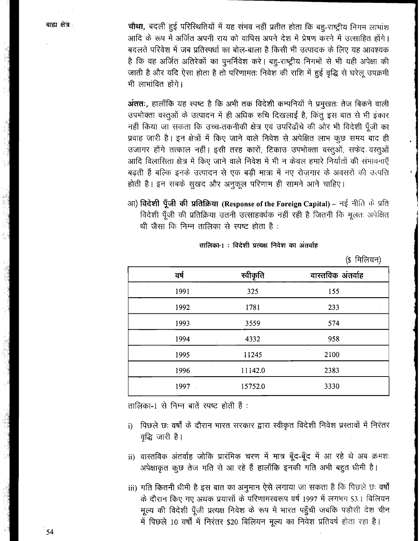चौथा, बदली हुई परिस्थितियों में यह संभव नहीं प्रतीत होता कि बह-राष्ट्रीय निगम लाभांश आदि के रूप में अर्जित अपनी राय को वापिस अपने देश में प्रेषण करने में उत्साहित होंगे। बदलते परिवेश में जब प्रतिस्पर्धा का बोल-बाला है किसी भी उत्पादक के लिए यह आवश्यक है कि वह अर्जित अतिरेकों का पुनर्निवेश करे। बहु-राष्ट्रीय निगमों से भी यही अपेक्षा की जाती है और यदि ऐसा होता है तो परिणामतः निवेश की राशि में हुई वृद्धि से घरेलू उपक्रमी भी लाभांवित होंगे।

अंततः, हालाँकि यह स्पष्ट है कि अभी तक विदेशी कम्पनियों ने प्रमुखतः तेज बिकने वाली उपभोक्ता वस्तूओं के उत्पादन में ही अधिक रुचि दिखलाई है, किंतू इस बात से भी इंकार नहीं किया जा सकता कि उच्च-तकनीकी क्षेत्र एवं उपरिढाँचे की ओर भी विदेशी पँजी का प्रवाह जारी है। इन क्षेत्रों में किए जाने वाले निवेश से अपेक्षित लाभ कुछ समय बाद ही उजागर होंगे तत्काल नहीं। इसी तरह कारों, टिकाउ उपभोक्ता वस्तुओं, सफेद वस्तुओं आदि विलासिता क्षेत्र में किए जाने वाले निवेश में भी न केवल हमारे निर्यातों की संभावनाएँ बढ़ती हैं बल्कि इनके उत्पादन से एक बड़ी मात्रा में नए रोज़गार के अवसरों की उत्पत्ति होती है। इन सबके सुखद और अनुकूल परिणाम ही सामने आने चाहिए।

आ) विदेशी पूँजी की प्रतिक्रिया (Response of the Foreign Capital) – नई नीति के प्रति विदेशी पूँजी की प्रतिक्रिया उतनी उत्साहवर्धक नहीं रही है जितनी कि मूलतः अपेक्षित थी जैसा कि निम्न तालिका से स्पष्ट होता है:

तालिका-1: विदेशी प्रत्यक्ष निवेश का अंतर्वाह

 $(e \nPhi \n\pi)$ 

| स्वीकृति<br>वर्ष | वास्तविक अंतर्वाह |
|------------------|-------------------|
| 1991<br>325      | 155               |
| 1992<br>1781     | 233               |
| 3559<br>1993     | $-574$            |
| 1994<br>4332     | 958               |
| 11245<br>1995    | 2100              |
| 11142.0<br>1996  | 2383              |
| 15752.0<br>1997  | 3330              |

तालिका-1 से निम्न बातें स्पष्ट होती हैं :

- पिछले छः वर्षों के दौरान भारत सरकार द्वारा स्वीकृत विदेशी निवेश प्रस्तावों में निरंतर  $i)$ वृद्धि जारी है।
- ii) वास्तविक अंतर्वाह जोकि प्रारंभिक चरण में मात्र बूँद-बूँद में आ रहे थे अब क्रमशः अपेक्षाकृत कुछ तेज गति से आ रहे हैं हालाँकि इनकी गति अभी बहुत धीमी है।

iii) गति कितनी धीमी है इस बात का अनुमान ऐसे लगाया जा सकता है कि पिछले छः वर्षों के दौरान किए गए अथक प्रयासों के परिणामस्वरूप वर्ष 1997 में लगभग \$3.1 बिलियन .<br>मूल्य की विदेशी पूँजी प्रत्यक्ष निवेश के रूप में भारत पहुँची जबकि पड़ौसी देश चीन में पिछले 10 वर्षों में निरंतर \$20 बिलियन मूल्य का निवेश प्रतिवर्ष होता रहा है।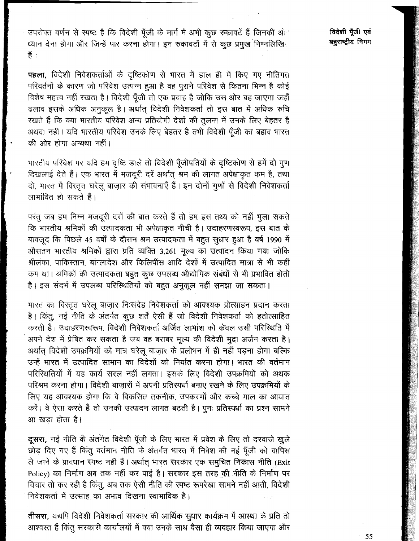उपरोक्त वर्णन से स्पष्ट है कि विदेशी पूँजी के मार्ग में अभी कुछ रुकावटें हैं जिनकी ओ ध्यान देना होगा और जिन्हें पार करना होगा। इन रुकावटों में से कूछ प्रमुख निम्नलिखि 쑴 :

पहला, विदेशी निवेशकर्ताओं के दृष्टिकोण से भारत में हाल ही में किए गए नीतिगत परिवर्तनों के कारण जो परिवेश उत्पन्न हुआ है वह पुराने परिवेश से कितना भिन्न है कोई विशेष महत्त्व नहीं रखता है। विदेशी पूँजी तो एक प्रवाह है जोकि उस ओर बह जाएगा जहाँ ढलाव इसके अधिक अनुकूल है। अर्थात् विदेशी निवेशकर्ता तो इस बात में अधिक रुचि रखते हैं कि क्या भारतीय परिवेश अन्य प्रतियोगी देशों की तुलना में उनके लिए बेहतर है अथवा नहीं। यदि भारतीय परिवेश उनके लिए बेहतर है तभी विदेशी पूँजी का बहाव भारत की ओर होगा अन्यथा नहीं।

भारतीय परिवेश पर यदि हम दृष्टि डालें तो विदेशी पूँजीपतियों के दृष्टिकोण से हमें दो गुण दिखलाई देते हैं। एक भारत में मजदूरी दरें अर्थात् श्रम की लागत अपेक्षाकृत कम है, तथा दो, भारत में विस्तृत घरेलू बाजार की संभावनाएँ हैं। इन दोनों गुणों से विदेशी निवेशकर्ता लाभांवित हो सकते हैं।

परंतु जब हम निम्न मजदूरी दरों की बात करते हैं तो हम इस तथ्य को नहीं भुला सकते कि भारतीय श्रमिकों की उत्पादकता भी अपेक्षाकृत नीची है। उदाहरणस्वरूप, इस बात के बावजूद कि पिछले 45 वर्षों के दौरान श्रम उत्पादकता में बहुत सुधार हुआ है वर्ष 1990 में औसतन भारतीय श्रमिकों द्वारा प्रति व्यक्ति 3,261 मूल्य का उत्पादन किया गया जोकि श्रीलंका, पाकिस्तान, बांग्लादेश और फिलिपींस आदि देशों में उत्पादित मात्रा से भी कहीं कम था। श्रमिकों की उत्पादकता बहुत कुछ उपलब्ध औद्योगिक संबंधों से भी प्रभावित होती है। इस संदर्भ में उपलब्ध परिस्थितियों को बहुत अनुकूल नहीं समझा जा सकता।

भारत का विस्तृत घरेलू बाज़ार निःसंदेह निवेशकर्ता को आवश्यक प्रोत्साहन प्रदान करता है। किंतू, नई नीति के अंतर्गत कुछ शर्तें ऐसी हैं जो विदेशी निवेशकर्ता को हतोत्साहित करती हैं। उदाहरणस्वरूप, विदेशी निवेशकर्ता अर्जित लाभांश को केवल उसी परिस्थिति में अपने देश में प्रेषित कर सकता है जब वह बराबर मूल्य की विदेशी मुद्रा अर्जन करता है। अर्थात् विदेशी उपक्रमियों को मात्र घरेलू बाज़ार के प्रलोभन में ही नहीं पड़ना होगा बल्कि उन्हें भारत में उत्पादित सामान का विदेशों को निर्यात करना होगा। भारत की वर्तमान परिस्थितियों में यह कार्य सरल नहीं लगता। इसके लिए विदेशी उपक्रमियों को अथक परिश्रम करना होगा। विदेशी बाजारों में अपनी प्रतिस्पर्धा बनाए रखने के लिए उपक्रमियों के लिए यह आवश्यक होगा कि वे विकसित तकनीक, उपकरणों और कच्चे माल का आयात करें। वे ऐसा करते हैं तो उनकी उत्पादन लागत बढ़ती है। पुनः प्रतिस्पर्धा का प्रश्न सामने आ खड़ा होता है।

दूसरा, नई नीति के अंतर्गत विदेशी पूँजी के लिए भारत में प्रवेश के लिए तो दरवाजे खुले छोड़ दिए गए हैं किंतु वर्तमान नीति के अंतर्गत भारत में निवेश की नई पूँजी को वापिस ले जाने के प्रावधान स्पष्ट नहीं हैं। अर्थात् भारत सरकार एक समुचित निकास नीति (Exit Policy) का निर्माण अब तक नहीं कर पाई है। सरकार इस तरह की बीति के निर्माण पर विचार तो कर रही है किंतु, अब तक ऐसी नीति की स्पष्ट रूपरेखा सामने नहीं आती, विदेशी निवेशकर्ता में उत्साह का अभाव दिखना स्वाभाविक है।

तीसरा, यद्यपि विदेशी निवेशकर्ता सरकार की आर्थिक सुधार कार्यक्रम में आस्था के प्रति तो आश्वरत हैं किंतु सरकारी कार्यालयों में क्या उनके साथ वैसा ही व्यवहार किया जाएगा और विदेशी पूँजी एवं बहुराष्ट्रीय निगम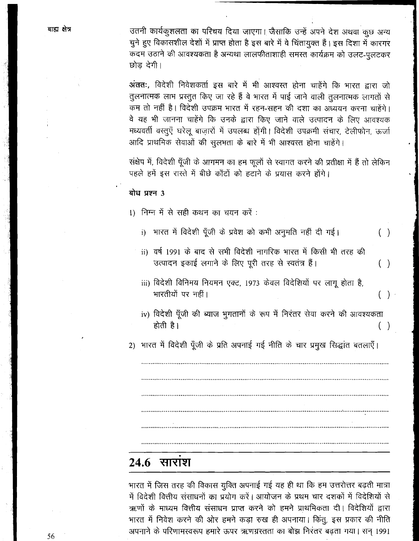उतनी कार्यकुशलता का परिचय दिया जाएगा। जैसाकि उन्हें अपने देश अथवा कुछ अन्य चुने हुए विकासशील देशों में प्राप्त होता है इस बारे में वे चिंतायुक्त हैं। इस दिशा में कारगर कदम उठाने की आवश्यकता है अन्यथा लालफीताशाही समस्त कार्यक्रम को उलट-पलटकर छोड देगी।

अंततः, विदेशी निवेशकर्ता इस बारे में भी आश्वस्त होना चाहेंगे कि भारत द्वारा जो तुलनात्मक लाभ प्रस्तुत किए जा रहे हैं वे भारत में पाई जाने वाली तुलनात्मक लागतों से कम तो नहीं है। विदेशी उपक्रम भारत में रहन-सहन की दशा का अध्ययन करना चाहेंगे। वे यह भी जानना चाहेंगे कि उनके द्वारा किए जाने वाले उत्पादन के लिए आवश्यक मध्यवर्ती वस्तूएँ घरेलू बाजारों में उपलब्ध होंगी। विदेशी उपक्रमी संचार, टेलीफोन, ऊर्जा आदि प्राथमिक सेवाओं की सुलभता के बारे में भी आश्वरत होना चाहेंगे।

संक्षेप में, विदेशी पूँजी के आगमन का हम फूलों से स्वागत करने की प्रतीक्षा में हैं तो लेकिन पहले हमें इस रास्ते में बीछे काँटों को हटाने के प्रयास करने होंगे।

#### बोध प्रश्न 3

1) निम्न में से सही कथन का चयन करें :

i) भारत में विदेशी पूँजी के प्रवेश को कभी अनुमति नहीं दी गई।  $( )$ 

- ii) वर्ष 1991 के बाद से सभी विदेशी नागरिक भारत में किसी भी तरह की उत्पादन इकाई लगाने के लिए पूरी तरह से स्वतंत्र हैं।  $( )$
- iii) विदेशी विनिमय नियमन एक्ट, 1973 केवल विदेशियों पर लागू होता है, भारतीयों पर नहीं।
- iv) विदेशी पूँजी की ब्याज भुगतानों के रूप में निरंतर सेवा करने की आवश्यकता होती है।  $(\ )$

 $(\ )$ .

2) भारत में विदेशी पूँजी के प्रति अपनाई गई नीति के चार प्रमुख सिद्धांत बतलाएँ।

## $24.6$  सारांश

भारत में जिस तरह की विकास युक्ति अपनाई गई यह ही था कि हम उत्तरोत्तर बढ़ती मात्रा में विदेशी वित्तीय संसाधनों का प्रयोग करें। आयोजन के प्रथम चार दशकों में विदेशियों से ऋणों के माध्यम वित्तीय संसाधन प्राप्त करने को हमने प्राथमिकता दी। विदेशियों द्वारा भारत में निवेश करने की ओर हमने कड़ा रुख ही अपनाया। किंतु, इस प्रकार की नीति अपनाने के परिणामस्वरूप हमारे ऊपर ऋणग्रस्तता का बोझ निरंतर बढ़ता गया। सन् 1991